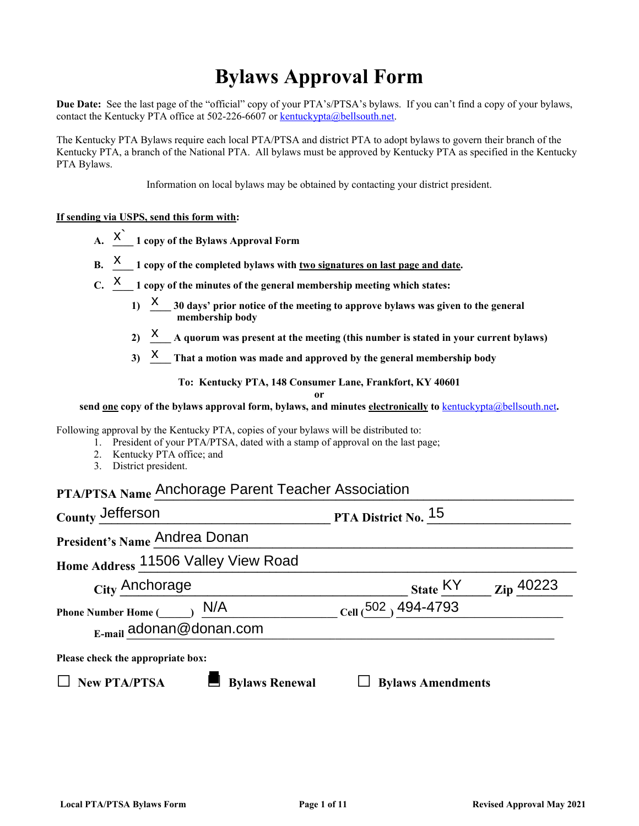# **Bylaws Approval Form**

**Due Date:** See the last page of the "official" copy of your PTA's/PTSA's bylaws. If you can't find a copy of your bylaws, contact the Kentucky PTA office at 502-226-6607 or [kentuckypta@bellsouth.net.](mailto:kentuckypta@bellsouth.net)

The Kentucky PTA Bylaws require each local PTA/PTSA and district PTA to adopt bylaws to govern their branch of the Kentucky PTA, a branch of the National PTA. All bylaws must be approved by Kentucky PTA as specified in the Kentucky PTA Bylaws.

Information on local bylaws may be obtained by contacting your district president.

#### **If sending via USPS, send this form with:**

- A.  $\overrightarrow{X}$  1 copy of the Bylaws Approval Form
- **B. X** 1 copy of the completed bylaws with <u>two signatures on last page and date</u>.
- C.  $\frac{X}{X}$  1 copy of the minutes of the general membership meeting which states:
	- **1) \_\_\_\_ 30 days' prior notice of the meeting to approve bylaws was given to the general membership body**  $_1$  X
	- 2) **X** A quorum was present at the meeting (this number is stated in your current bylaws)
	- 3) **X** That a motion was made and approved by the general membership body

**To: Kentucky PTA, 148 Consumer Lane, Frankfort, KY 40601**

**or** 

**send one copy of the bylaws approval form, bylaws, and minutes electronically to** [kentuckypta@bellsouth.net](mailto:kentuckypta@bellsouth.net)**.**

Following approval by the Kentucky PTA, copies of your bylaws will be distributed to:

- 1. President of your PTA/PTSA, dated with a stamp of approval on the last page;
- 2. Kentucky PTA office; and
- 3. District president.

## **PTA/PTSA Name \_\_\_\_\_\_\_\_\_\_\_\_\_\_\_\_\_\_\_\_\_\_\_\_\_\_\_\_\_\_\_\_\_\_\_\_\_\_\_\_\_\_\_\_\_\_\_\_\_\_\_\_\_\_\_\_\_\_\_\_\_\_\_\_\_\_\_** Anchorage Parent Teacher Association

| County Jefferson                                                                  | PTA District No. 15      |                       |
|-----------------------------------------------------------------------------------|--------------------------|-----------------------|
| President's Name Andrea Donan                                                     |                          |                       |
| Home Address 11506 Valley View Road                                               |                          |                       |
| City Anchorage                                                                    | State KY                 | $\mathbf{Z}$ ip 40223 |
| N/A<br><b>Phone Number Home (</b><br>$E$ -mail adonan@donan.com                   | Cell (502) 494-4793      |                       |
| Please check the appropriate box:<br><b>New PTA/PTSA</b><br><b>Bylaws Renewal</b> | <b>Bylaws Amendments</b> |                       |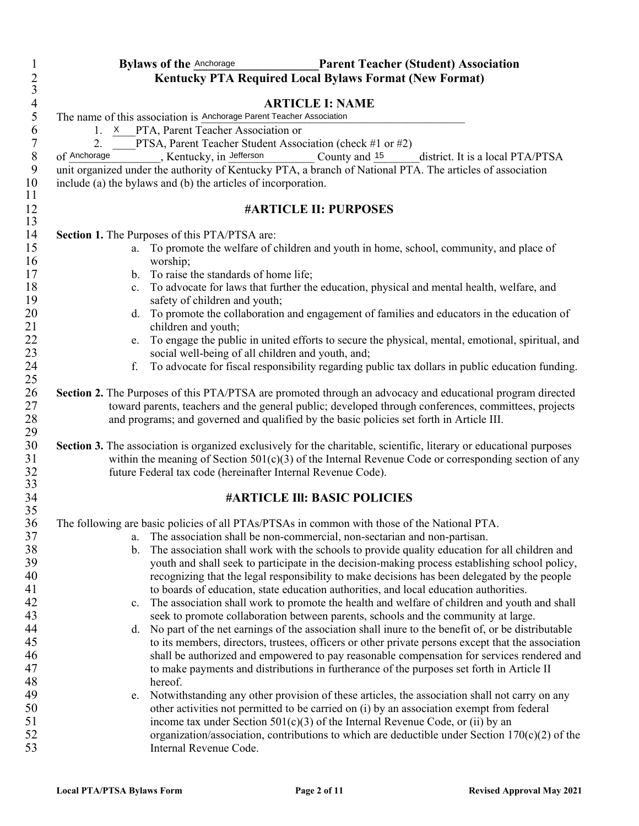| $\mathbf{1}$     | <b>Bylaws of the Anchorage</b><br><b>Parent Teacher (Student) Association</b>                                                                               |
|------------------|-------------------------------------------------------------------------------------------------------------------------------------------------------------|
| $rac{2}{3}$      | <b>Kentucky PTA Required Local Bylaws Format (New Format)</b>                                                                                               |
|                  |                                                                                                                                                             |
| $\overline{4}$   | <b>ARTICLE I: NAME</b>                                                                                                                                      |
| 5<br>6           | The name of this association is Anchorage Parent Teacher Association<br>1. X PTA, Parent Teacher Association or                                             |
| $\boldsymbol{7}$ | PTSA, Parent Teacher Student Association (check #1 or #2)<br>2.                                                                                             |
| $\, 8$           | of Anchorage<br>Kentucky, in Jefferson<br>County and 15<br>district. It is a local PTA/PTSA                                                                 |
| 9                | unit organized under the authority of Kentucky PTA, a branch of National PTA. The articles of association                                                   |
| 10               | include (a) the bylaws and (b) the articles of incorporation.                                                                                               |
| 11               |                                                                                                                                                             |
| 12               | <b>#ARTICLE II: PURPOSES</b>                                                                                                                                |
| 13               |                                                                                                                                                             |
| 14               | Section 1. The Purposes of this PTA/PTSA are:                                                                                                               |
| 15<br>16         | To promote the welfare of children and youth in home, school, community, and place of<br>a.<br>worship;                                                     |
| 17               | b. To raise the standards of home life;                                                                                                                     |
| 18               | c. To advocate for laws that further the education, physical and mental health, welfare, and                                                                |
| 19               | safety of children and youth;                                                                                                                               |
| $20\,$<br>21     | d. To promote the collaboration and engagement of families and educators in the education of<br>children and youth;                                         |
| 22<br>23         | To engage the public in united efforts to secure the physical, mental, emotional, spiritual, and<br>e.<br>social well-being of all children and youth, and; |
| 24               | To advocate for fiscal responsibility regarding public tax dollars in public education funding.<br>f.                                                       |
| 25               |                                                                                                                                                             |
| 26               | Section 2. The Purposes of this PTA/PTSA are promoted through an advocacy and educational program directed                                                  |
| 27               | toward parents, teachers and the general public; developed through conferences, committees, projects                                                        |
| 28               | and programs; and governed and qualified by the basic policies set forth in Article III.                                                                    |
| 29               |                                                                                                                                                             |
| 30               | Section 3. The association is organized exclusively for the charitable, scientific, literary or educational purposes                                        |
| 31               | within the meaning of Section $501(c)(3)$ of the Internal Revenue Code or corresponding section of any                                                      |
| 32               | future Federal tax code (hereinafter Internal Revenue Code).                                                                                                |
| 33               | <b>#ARTICLE III: BASIC POLICIES</b>                                                                                                                         |
| 34<br>35         |                                                                                                                                                             |
| 36               | The following are basic policies of all PTAs/PTSAs in common with those of the National PTA.                                                                |
| 37               | The association shall be non-commercial, non-sectarian and non-partisan.<br>a.                                                                              |
| 38               | The association shall work with the schools to provide quality education for all children and<br>$\mathbf{b}$ .                                             |
| 39               | youth and shall seek to participate in the decision-making process establishing school policy,                                                              |
| 40               | recognizing that the legal responsibility to make decisions has been delegated by the people                                                                |
| 41               | to boards of education, state education authorities, and local education authorities.                                                                       |
| 42               | The association shall work to promote the health and welfare of children and youth and shall<br>c.                                                          |
| 43               | seek to promote collaboration between parents, schools and the community at large.                                                                          |
| 44               | No part of the net earnings of the association shall inure to the benefit of, or be distributable<br>d.                                                     |
| 45               | to its members, directors, trustees, officers or other private persons except that the association                                                          |
| 46               | shall be authorized and empowered to pay reasonable compensation for services rendered and                                                                  |
| 47               | to make payments and distributions in furtherance of the purposes set forth in Article II<br>hereof.                                                        |
| 48<br>49         | Notwithstanding any other provision of these articles, the association shall not carry on any<br>e.                                                         |
| 50               | other activities not permitted to be carried on (i) by an association exempt from federal                                                                   |
| 51               | income tax under Section $501(c)(3)$ of the Internal Revenue Code, or (ii) by an                                                                            |
| 52               | organization/association, contributions to which are deductible under Section 170(c)(2) of the                                                              |
| 53               | Internal Revenue Code.                                                                                                                                      |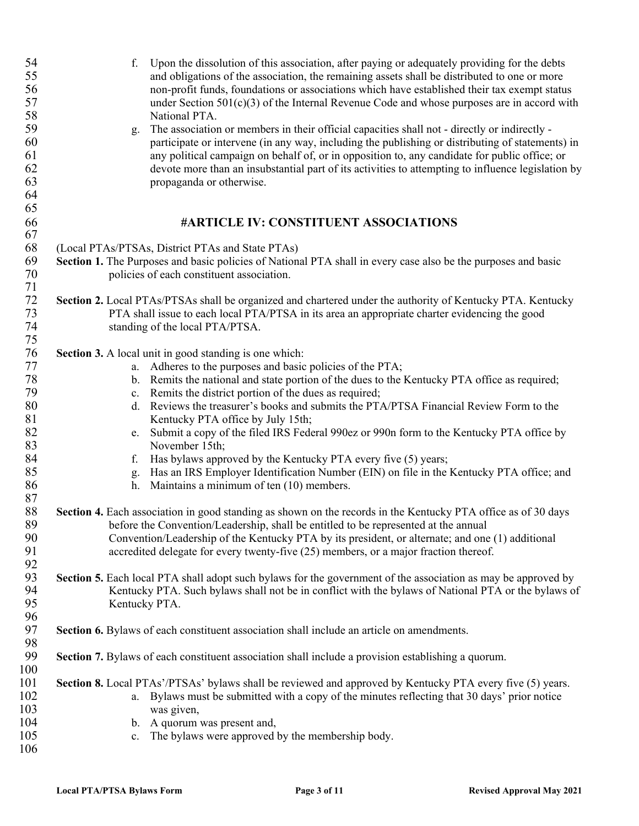| 54         | Upon the dissolution of this association, after paying or adequately providing for the debts<br>f.            |
|------------|---------------------------------------------------------------------------------------------------------------|
| 55         | and obligations of the association, the remaining assets shall be distributed to one or more                  |
| 56         | non-profit funds, foundations or associations which have established their tax exempt status                  |
| 57         | under Section $501(c)(3)$ of the Internal Revenue Code and whose purposes are in accord with                  |
| 58         | National PTA.                                                                                                 |
| 59         | The association or members in their official capacities shall not - directly or indirectly -<br>g.            |
| 60         | participate or intervene (in any way, including the publishing or distributing of statements) in              |
| 61         | any political campaign on behalf of, or in opposition to, any candidate for public office; or                 |
| 62         | devote more than an insubstantial part of its activities to attempting to influence legislation by            |
| 63         | propaganda or otherwise.                                                                                      |
| 64         |                                                                                                               |
| 65         |                                                                                                               |
| 66         | #ARTICLE IV: CONSTITUENT ASSOCIATIONS                                                                         |
| 67         |                                                                                                               |
|            |                                                                                                               |
| 68         | (Local PTAs/PTSAs, District PTAs and State PTAs)                                                              |
| 69         | Section 1. The Purposes and basic policies of National PTA shall in every case also be the purposes and basic |
| 70         | policies of each constituent association.                                                                     |
| 71         |                                                                                                               |
| $72\,$     | Section 2. Local PTAs/PTSAs shall be organized and chartered under the authority of Kentucky PTA. Kentucky    |
| 73         | PTA shall issue to each local PTA/PTSA in its area an appropriate charter evidencing the good                 |
| 74         | standing of the local PTA/PTSA.                                                                               |
| $75\,$     |                                                                                                               |
| 76         | <b>Section 3.</b> A local unit in good standing is one which:                                                 |
| 77         | a. Adheres to the purposes and basic policies of the PTA;                                                     |
| 78         | b. Remits the national and state portion of the dues to the Kentucky PTA office as required;                  |
| 79         | c. Remits the district portion of the dues as required;                                                       |
| 80         | d. Reviews the treasurer's books and submits the PTA/PTSA Financial Review Form to the                        |
| 81         | Kentucky PTA office by July 15th;                                                                             |
| 82         | e. Submit a copy of the filed IRS Federal 990ez or 990n form to the Kentucky PTA office by                    |
| 83         | November 15th;                                                                                                |
| 84         | Has bylaws approved by the Kentucky PTA every five (5) years;<br>f.                                           |
| 85         | g. Has an IRS Employer Identification Number (EIN) on file in the Kentucky PTA office; and                    |
| 86         | h. Maintains a minimum of ten (10) members.                                                                   |
| 87         |                                                                                                               |
| 88         | Section 4. Each association in good standing as shown on the records in the Kentucky PTA office as of 30 days |
| 89         | before the Convention/Leadership, shall be entitled to be represented at the annual                           |
| 90         | Convention/Leadership of the Kentucky PTA by its president, or alternate; and one (1) additional              |
| 91         | accredited delegate for every twenty-five (25) members, or a major fraction thereof.                          |
| 92         |                                                                                                               |
| 93         | Section 5. Each local PTA shall adopt such bylaws for the government of the association as may be approved by |
| 94         | Kentucky PTA. Such bylaws shall not be in conflict with the bylaws of National PTA or the bylaws of           |
| 95         | Kentucky PTA.                                                                                                 |
| 96         |                                                                                                               |
| 97         | Section 6. Bylaws of each constituent association shall include an article on amendments.                     |
| 98         |                                                                                                               |
| 99         |                                                                                                               |
| 100        | Section 7. Bylaws of each constituent association shall include a provision establishing a quorum.            |
|            |                                                                                                               |
| 101<br>102 | Section 8. Local PTAs'/PTSAs' bylaws shall be reviewed and approved by Kentucky PTA every five (5) years.     |
|            | a. By laws must be submitted with a copy of the minutes reflecting that 30 days' prior notice                 |
| 103        | was given,                                                                                                    |
| 104        | b. A quorum was present and,                                                                                  |
| 105        | c. The bylaws were approved by the membership body.                                                           |
| 106        |                                                                                                               |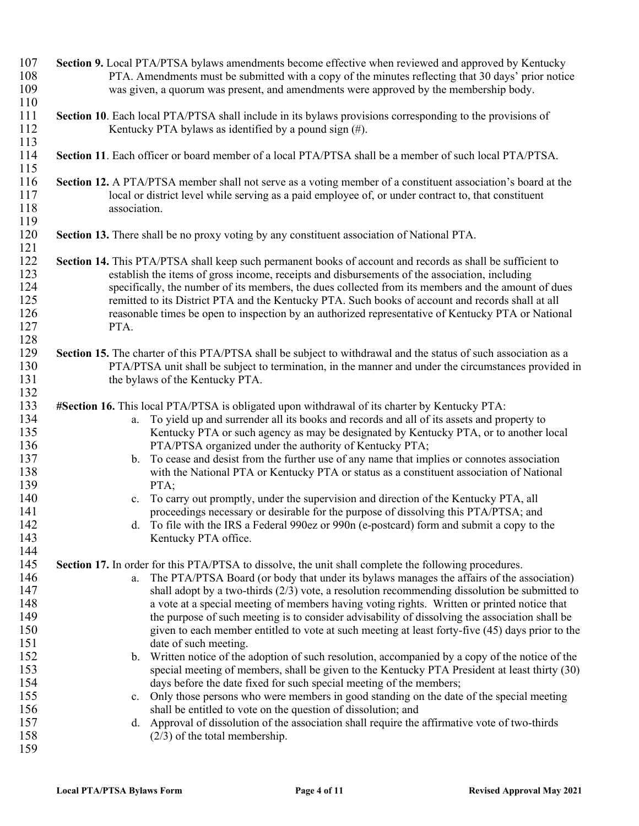| 107 | Section 9. Local PTA/PTSA bylaws amendments become effective when reviewed and approved by Kentucky              |
|-----|------------------------------------------------------------------------------------------------------------------|
| 108 | PTA. Amendments must be submitted with a copy of the minutes reflecting that 30 days' prior notice               |
| 109 | was given, a quorum was present, and amendments were approved by the membership body.                            |
| 110 |                                                                                                                  |
| 111 | <b>Section 10.</b> Each local PTA/PTSA shall include in its bylaws provisions corresponding to the provisions of |
| 112 | Kentucky PTA bylaws as identified by a pound sign (#).                                                           |
| 113 |                                                                                                                  |
| 114 | Section 11. Each officer or board member of a local PTA/PTSA shall be a member of such local PTA/PTSA.           |
| 115 |                                                                                                                  |
| 116 |                                                                                                                  |
|     | Section 12. A PTA/PTSA member shall not serve as a voting member of a constituent association's board at the     |
| 117 | local or district level while serving as a paid employee of, or under contract to, that constituent              |
| 118 | association.                                                                                                     |
| 119 |                                                                                                                  |
| 120 | Section 13. There shall be no proxy voting by any constituent association of National PTA.                       |
| 121 |                                                                                                                  |
| 122 | Section 14. This PTA/PTSA shall keep such permanent books of account and records as shall be sufficient to       |
| 123 | establish the items of gross income, receipts and disbursements of the association, including                    |
| 124 | specifically, the number of its members, the dues collected from its members and the amount of dues              |
| 125 | remitted to its District PTA and the Kentucky PTA. Such books of account and records shall at all                |
| 126 | reasonable times be open to inspection by an authorized representative of Kentucky PTA or National               |
| 127 | PTA.                                                                                                             |
| 128 |                                                                                                                  |
| 129 | Section 15. The charter of this PTA/PTSA shall be subject to withdrawal and the status of such association as a  |
| 130 | PTA/PTSA unit shall be subject to termination, in the manner and under the circumstances provided in             |
| 131 | the bylaws of the Kentucky PTA.                                                                                  |
| 132 |                                                                                                                  |
| 133 | #Section 16. This local PTA/PTSA is obligated upon withdrawal of its charter by Kentucky PTA:                    |
| 134 | To yield up and surrender all its books and records and all of its assets and property to<br>a.                  |
| 135 |                                                                                                                  |
|     | Kentucky PTA or such agency as may be designated by Kentucky PTA, or to another local                            |
| 136 | PTA/PTSA organized under the authority of Kentucky PTA;                                                          |
| 137 | b. To cease and desist from the further use of any name that implies or connotes association                     |
| 138 | with the National PTA or Kentucky PTA or status as a constituent association of National                         |
| 139 | PTA;                                                                                                             |
| 140 | To carry out promptly, under the supervision and direction of the Kentucky PTA, all<br>c.                        |
| 141 | proceedings necessary or desirable for the purpose of dissolving this PTA/PTSA; and                              |
| 142 | d. To file with the IRS a Federal 990ez or 990n (e-postcard) form and submit a copy to the                       |
| 143 | Kentucky PTA office.                                                                                             |
| 144 |                                                                                                                  |
| 145 | Section 17. In order for this PTA/PTSA to dissolve, the unit shall complete the following procedures.            |
| 146 | a. The PTA/PTSA Board (or body that under its bylaws manages the affairs of the association)                     |
| 147 | shall adopt by a two-thirds $(2/3)$ vote, a resolution recommending dissolution be submitted to                  |
| 148 | a vote at a special meeting of members having voting rights. Written or printed notice that                      |
| 149 | the purpose of such meeting is to consider advisability of dissolving the association shall be                   |
| 150 | given to each member entitled to vote at such meeting at least forty-five (45) days prior to the                 |
| 151 | date of such meeting.                                                                                            |
| 152 | b. Written notice of the adoption of such resolution, accompanied by a copy of the notice of the                 |
| 153 | special meeting of members, shall be given to the Kentucky PTA President at least thirty (30)                    |
| 154 | days before the date fixed for such special meeting of the members;                                              |
| 155 | c. Only those persons who were members in good standing on the date of the special meeting                       |
| 156 | shall be entitled to vote on the question of dissolution; and                                                    |
| 157 | d. Approval of dissolution of the association shall require the affirmative vote of two-thirds                   |
| 158 |                                                                                                                  |
| 159 | $(2/3)$ of the total membership.                                                                                 |
|     |                                                                                                                  |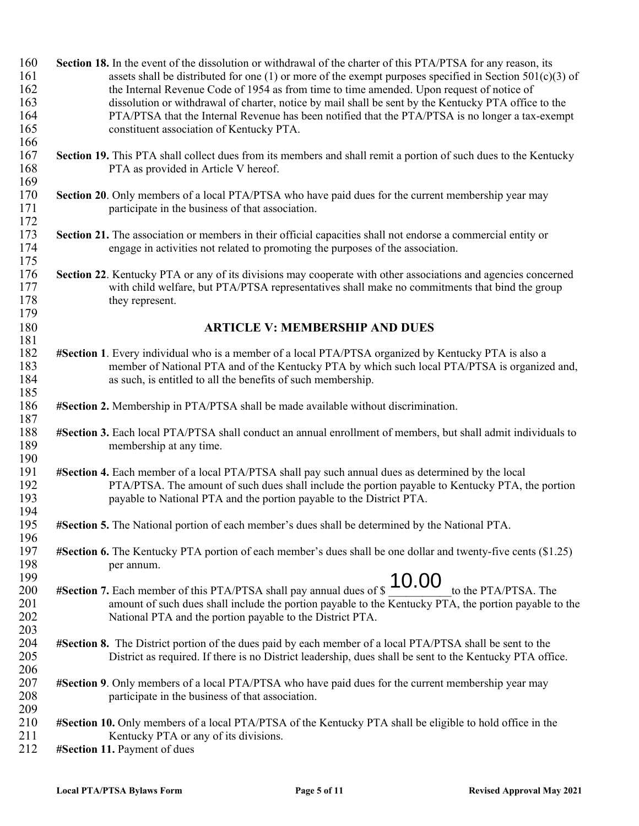| 160 | Section 18. In the event of the dissolution or withdrawal of the charter of this PTA/PTSA for any reason, its        |
|-----|----------------------------------------------------------------------------------------------------------------------|
| 161 | assets shall be distributed for one (1) or more of the exempt purposes specified in Section 501(c)(3) of             |
| 162 | the Internal Revenue Code of 1954 as from time to time amended. Upon request of notice of                            |
| 163 | dissolution or withdrawal of charter, notice by mail shall be sent by the Kentucky PTA office to the                 |
| 164 | PTA/PTSA that the Internal Revenue has been notified that the PTA/PTSA is no longer a tax-exempt                     |
| 165 | constituent association of Kentucky PTA.                                                                             |
| 166 |                                                                                                                      |
| 167 | Section 19. This PTA shall collect dues from its members and shall remit a portion of such dues to the Kentucky      |
| 168 | PTA as provided in Article V hereof.                                                                                 |
| 169 |                                                                                                                      |
| 170 | Section 20. Only members of a local PTA/PTSA who have paid dues for the current membership year may                  |
| 171 | participate in the business of that association.                                                                     |
| 172 |                                                                                                                      |
| 173 |                                                                                                                      |
|     | Section 21. The association or members in their official capacities shall not endorse a commercial entity or         |
| 174 | engage in activities not related to promoting the purposes of the association.                                       |
| 175 |                                                                                                                      |
| 176 | Section 22. Kentucky PTA or any of its divisions may cooperate with other associations and agencies concerned        |
| 177 | with child welfare, but PTA/PTSA representatives shall make no commitments that bind the group                       |
| 178 | they represent.                                                                                                      |
| 179 |                                                                                                                      |
| 180 | <b>ARTICLE V: MEMBERSHIP AND DUES</b>                                                                                |
| 181 |                                                                                                                      |
| 182 | #Section 1. Every individual who is a member of a local PTA/PTSA organized by Kentucky PTA is also a                 |
| 183 | member of National PTA and of the Kentucky PTA by which such local PTA/PTSA is organized and,                        |
| 184 | as such, is entitled to all the benefits of such membership.                                                         |
| 185 |                                                                                                                      |
| 186 | #Section 2. Membership in PTA/PTSA shall be made available without discrimination.                                   |
| 187 |                                                                                                                      |
| 188 | #Section 3. Each local PTA/PTSA shall conduct an annual enrollment of members, but shall admit individuals to        |
| 189 | membership at any time.                                                                                              |
| 190 |                                                                                                                      |
| 191 | #Section 4. Each member of a local PTA/PTSA shall pay such annual dues as determined by the local                    |
| 192 | PTA/PTSA. The amount of such dues shall include the portion payable to Kentucky PTA, the portion                     |
| 193 | payable to National PTA and the portion payable to the District PTA.                                                 |
| 194 |                                                                                                                      |
| 195 | #Section 5. The National portion of each member's dues shall be determined by the National PTA.                      |
| 196 |                                                                                                                      |
| 197 | <b>#Section 6.</b> The Kentucky PTA portion of each member's dues shall be one dollar and twenty-five cents (\$1.25) |
| 198 | per annum.                                                                                                           |
| 199 |                                                                                                                      |
| 200 | 10.00<br>to the PTA/PTSA. The<br>#Section 7. Each member of this PTA/PTSA shall pay annual dues of \$                |
| 201 | amount of such dues shall include the portion payable to the Kentucky PTA, the portion payable to the                |
| 202 | National PTA and the portion payable to the District PTA.                                                            |
| 203 |                                                                                                                      |
|     |                                                                                                                      |
| 204 | #Section 8. The District portion of the dues paid by each member of a local PTA/PTSA shall be sent to the            |
| 205 | District as required. If there is no District leadership, dues shall be sent to the Kentucky PTA office.             |
| 206 |                                                                                                                      |
| 207 | #Section 9. Only members of a local PTA/PTSA who have paid dues for the current membership year may                  |
| 208 | participate in the business of that association.                                                                     |
| 209 |                                                                                                                      |
| 210 | #Section 10. Only members of a local PTA/PTSA of the Kentucky PTA shall be eligible to hold office in the            |
| 211 | Kentucky PTA or any of its divisions.                                                                                |
| 212 | #Section 11. Payment of dues                                                                                         |
|     |                                                                                                                      |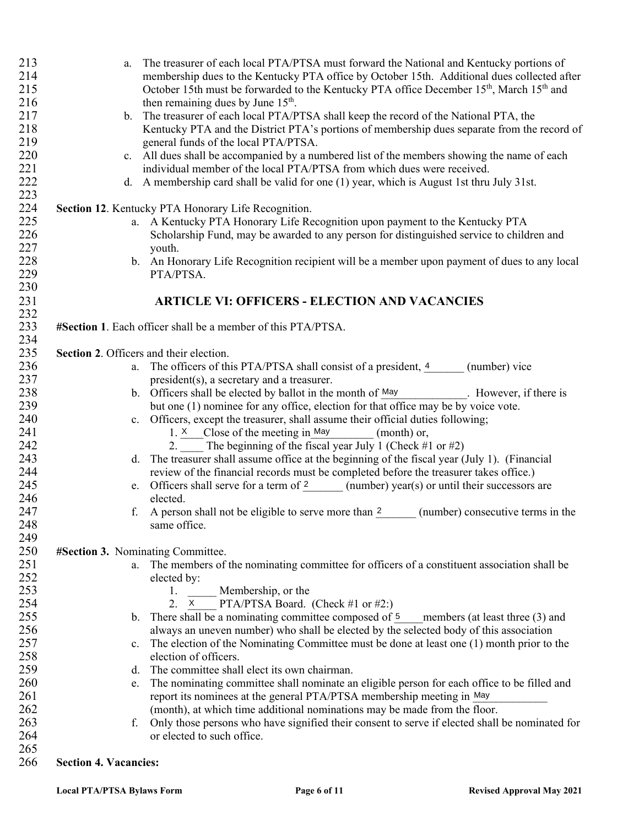| 213<br>214 | The treasurer of each local PTA/PTSA must forward the National and Kentucky portions of<br>a.<br>membership dues to the Kentucky PTA office by October 15th. Additional dues collected after |
|------------|----------------------------------------------------------------------------------------------------------------------------------------------------------------------------------------------|
| 215<br>216 | October 15th must be forwarded to the Kentucky PTA office December 15 <sup>th</sup> , March 15 <sup>th</sup> and<br>then remaining dues by June $15th$ .                                     |
| 217        | b. The treasurer of each local PTA/PTSA shall keep the record of the National PTA, the                                                                                                       |
| 218        | Kentucky PTA and the District PTA's portions of membership dues separate from the record of                                                                                                  |
| 219        | general funds of the local PTA/PTSA.                                                                                                                                                         |
| 220        | c. All dues shall be accompanied by a numbered list of the members showing the name of each                                                                                                  |
| 221        | individual member of the local PTA/PTSA from which dues were received.                                                                                                                       |
| 222        | d. A membership card shall be valid for one (1) year, which is August 1st thru July 31st.                                                                                                    |
| 223        |                                                                                                                                                                                              |
| 224        | Section 12. Kentucky PTA Honorary Life Recognition.                                                                                                                                          |
| 225        | a. A Kentucky PTA Honorary Life Recognition upon payment to the Kentucky PTA                                                                                                                 |
| 226        | Scholarship Fund, may be awarded to any person for distinguished service to children and                                                                                                     |
| 227        | youth.                                                                                                                                                                                       |
| 228        | b. An Honorary Life Recognition recipient will be a member upon payment of dues to any local                                                                                                 |
| 229        | PTA/PTSA.                                                                                                                                                                                    |
| 230        | <b>ARTICLE VI: OFFICERS - ELECTION AND VACANCIES</b>                                                                                                                                         |
| 231<br>232 |                                                                                                                                                                                              |
| 233        | #Section 1. Each officer shall be a member of this PTA/PTSA.                                                                                                                                 |
| 234        |                                                                                                                                                                                              |
| 235        | Section 2. Officers and their election.                                                                                                                                                      |
| 236        | a. The officers of this PTA/PTSA shall consist of a president, 4 (number) vice                                                                                                               |
| 237        | president(s), a secretary and a treasurer.                                                                                                                                                   |
| 238        | b. Officers shall be elected by ballot in the month of $\frac{May}$ . However, if there is                                                                                                   |
| 239        | but one (1) nominee for any office, election for that office may be by voice vote.                                                                                                           |
| 240        | c. Officers, except the treasurer, shall assume their official duties following;                                                                                                             |
| 241        | 1. $X$ Close of the meeting in May<br>(month) or,                                                                                                                                            |
| 242        | 2. The beginning of the fiscal year July 1 (Check #1 or #2)                                                                                                                                  |
| 243        | d. The treasurer shall assume office at the beginning of the fiscal year (July 1). (Financial                                                                                                |
| 244        | review of the financial records must be completed before the treasurer takes office.)                                                                                                        |
| 245        | e. Officers shall serve for a term of $\frac{2}{2}$ (number) year(s) or until their successors are                                                                                           |
| 246        | elected.                                                                                                                                                                                     |
| 247        | f. A person shall not be eligible to serve more than $\frac{2}{2}$ (number) consecutive terms in the                                                                                         |
| 248        | same office.                                                                                                                                                                                 |
| 249        |                                                                                                                                                                                              |
| 250<br>251 | #Section 3. Nominating Committee.<br>The members of the nominating committee for officers of a constituent association shall be                                                              |
| 252        | a.<br>elected by:                                                                                                                                                                            |
| 253        | 1. Membership, or the                                                                                                                                                                        |
| 254        | <b>PTA/PTSA Board.</b> (Check #1 or #2:)<br>2.<br>$\mathsf{X}$                                                                                                                               |
| 255        | There shall be a nominating committee composed of 5<br>members (at least three (3) and<br>$\mathbf{b}$ .                                                                                     |
| 256        | always an uneven number) who shall be elected by the selected body of this association                                                                                                       |
| 257        | The election of the Nominating Committee must be done at least one (1) month prior to the<br>$\mathbf{c}$ .                                                                                  |
| 258        | election of officers.                                                                                                                                                                        |
| 259        | The committee shall elect its own chairman.<br>d.                                                                                                                                            |
| 260        | The nominating committee shall nominate an eligible person for each office to be filled and<br>e.                                                                                            |
| 261        | report its nominees at the general PTA/PTSA membership meeting in May                                                                                                                        |
| 262        | (month), at which time additional nominations may be made from the floor.                                                                                                                    |
| 263        | Only those persons who have signified their consent to serve if elected shall be nominated for<br>f.                                                                                         |
| 264        | or elected to such office.                                                                                                                                                                   |
| 265        |                                                                                                                                                                                              |
| 266        | <b>Section 4. Vacancies:</b>                                                                                                                                                                 |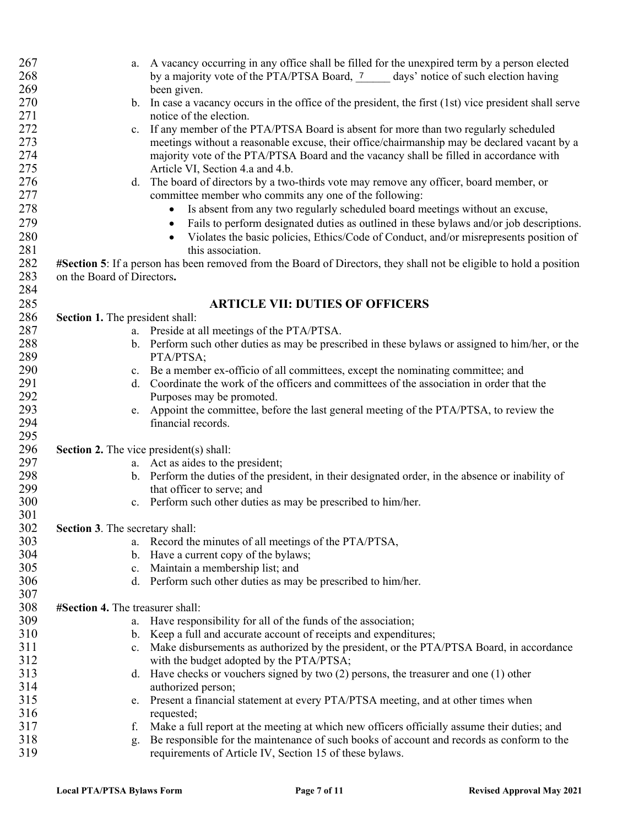| 267 | a. A vacancy occurring in any office shall be filled for the unexpired term by a person elected                     |
|-----|---------------------------------------------------------------------------------------------------------------------|
| 268 | by a majority vote of the PTA/PTSA Board, 7 days' notice of such election having                                    |
| 269 | been given.                                                                                                         |
| 270 | b. In case a vacancy occurs in the office of the president, the first (1st) vice president shall serve              |
| 271 | notice of the election.                                                                                             |
| 272 | If any member of the PTA/PTSA Board is absent for more than two regularly scheduled<br>c.                           |
| 273 | meetings without a reasonable excuse, their office/chairmanship may be declared vacant by a                         |
| 274 | majority vote of the PTA/PTSA Board and the vacancy shall be filled in accordance with                              |
| 275 | Article VI, Section 4.a and 4.b.                                                                                    |
| 276 | d. The board of directors by a two-thirds vote may remove any officer, board member, or                             |
| 277 | committee member who commits any one of the following:                                                              |
| 278 | Is absent from any two regularly scheduled board meetings without an excuse,<br>$\bullet$                           |
| 279 | Fails to perform designated duties as outlined in these bylaws and/or job descriptions.<br>$\bullet$                |
|     |                                                                                                                     |
| 280 | Violates the basic policies, Ethics/Code of Conduct, and/or misrepresents position of<br>$\bullet$                  |
| 281 | this association.                                                                                                   |
| 282 | #Section 5: If a person has been removed from the Board of Directors, they shall not be eligible to hold a position |
| 283 | on the Board of Directors.                                                                                          |
| 284 |                                                                                                                     |
| 285 | <b>ARTICLE VII: DUTIES OF OFFICERS</b>                                                                              |
| 286 | Section 1. The president shall:                                                                                     |
| 287 | a. Preside at all meetings of the PTA/PTSA.                                                                         |
| 288 | b. Perform such other duties as may be prescribed in these bylaws or assigned to him/her, or the                    |
| 289 | PTA/PTSA;                                                                                                           |
| 290 | c. Be a member ex-officio of all committees, except the nominating committee; and                                   |
| 291 | d. Coordinate the work of the officers and committees of the association in order that the                          |
| 292 | Purposes may be promoted.                                                                                           |
| 293 | Appoint the committee, before the last general meeting of the PTA/PTSA, to review the<br>e.                         |
| 294 | financial records.                                                                                                  |
| 295 |                                                                                                                     |
| 296 | <b>Section 2.</b> The vice president(s) shall:                                                                      |
| 297 | a. Act as aides to the president;                                                                                   |
| 298 | b. Perform the duties of the president, in their designated order, in the absence or inability of                   |
| 299 | that officer to serve; and                                                                                          |
| 300 | Perform such other duties as may be prescribed to him/her.<br>c.                                                    |
| 301 |                                                                                                                     |
| 302 | Section 3. The secretary shall:                                                                                     |
| 303 | Record the minutes of all meetings of the PTA/PTSA,<br>а.                                                           |
| 304 | b. Have a current copy of the bylaws;                                                                               |
| 305 | c. Maintain a membership list; and                                                                                  |
| 306 | d. Perform such other duties as may be prescribed to him/her.                                                       |
| 307 |                                                                                                                     |
| 308 | #Section 4. The treasurer shall:                                                                                    |
| 309 | Have responsibility for all of the funds of the association;                                                        |
| 310 | b. Keep a full and accurate account of receipts and expenditures;                                                   |
| 311 | Make disbursements as authorized by the president, or the PTA/PTSA Board, in accordance<br>$c_{\cdot}$              |
| 312 | with the budget adopted by the PTA/PTSA;                                                                            |
| 313 | Have checks or vouchers signed by two $(2)$ persons, the treasurer and one $(1)$ other<br>d.                        |
| 314 | authorized person;                                                                                                  |
| 315 | Present a financial statement at every PTA/PTSA meeting, and at other times when<br>e.                              |
| 316 | requested;                                                                                                          |
| 317 | Make a full report at the meeting at which new officers officially assume their duties; and<br>f.                   |
| 318 | Be responsible for the maintenance of such books of account and records as conform to the                           |
| 319 | g.<br>requirements of Article IV, Section 15 of these bylaws.                                                       |
|     |                                                                                                                     |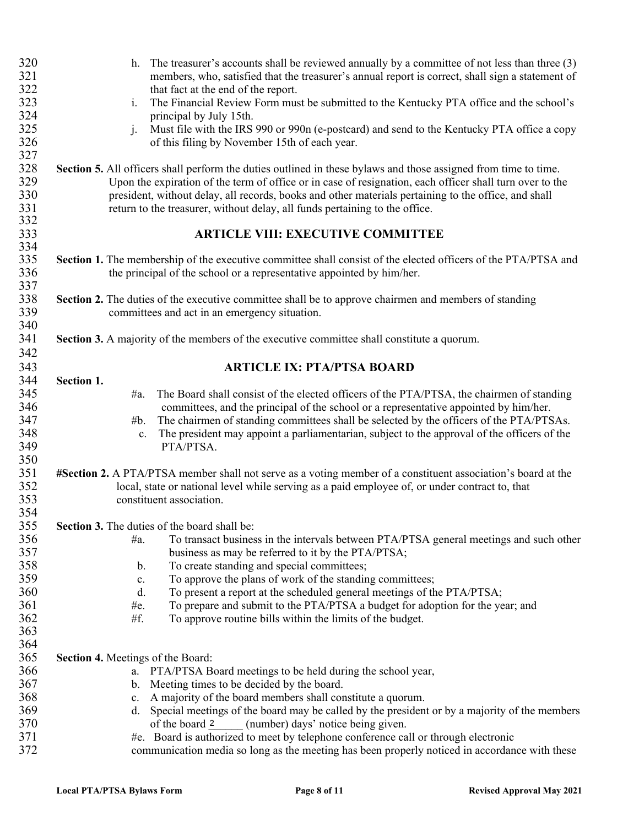| 320 | h. The treasurer's accounts shall be reviewed annually by a committee of not less than three (3)                |
|-----|-----------------------------------------------------------------------------------------------------------------|
| 321 | members, who, satisfied that the treasurer's annual report is correct, shall sign a statement of                |
| 322 | that fact at the end of the report.                                                                             |
| 323 | The Financial Review Form must be submitted to the Kentucky PTA office and the school's<br>$\mathbf{i}$ .       |
| 324 | principal by July 15th.                                                                                         |
| 325 | Must file with the IRS 990 or 990n (e-postcard) and send to the Kentucky PTA office a copy<br>$\mathbf{i}$ .    |
| 326 | of this filing by November 15th of each year.                                                                   |
| 327 |                                                                                                                 |
| 328 | Section 5. All officers shall perform the duties outlined in these bylaws and those assigned from time to time. |
| 329 | Upon the expiration of the term of office or in case of resignation, each officer shall turn over to the        |
| 330 | president, without delay, all records, books and other materials pertaining to the office, and shall            |
|     |                                                                                                                 |
| 331 | return to the treasurer, without delay, all funds pertaining to the office.                                     |
| 332 |                                                                                                                 |
| 333 | <b>ARTICLE VIII: EXECUTIVE COMMITTEE</b>                                                                        |
| 334 |                                                                                                                 |
| 335 | Section 1. The membership of the executive committee shall consist of the elected officers of the PTA/PTSA and  |
| 336 | the principal of the school or a representative appointed by him/her.                                           |
| 337 |                                                                                                                 |
| 338 | Section 2. The duties of the executive committee shall be to approve chairmen and members of standing           |
| 339 | committees and act in an emergency situation.                                                                   |
| 340 |                                                                                                                 |
| 341 | <b>Section 3.</b> A majority of the members of the executive committee shall constitute a quorum.               |
| 342 |                                                                                                                 |
| 343 | <b>ARTICLE IX: PTA/PTSA BOARD</b>                                                                               |
| 344 | Section 1.                                                                                                      |
| 345 | The Board shall consist of the elected officers of the PTA/PTSA, the chairmen of standing<br>$\#a.$             |
| 346 | committees, and the principal of the school or a representative appointed by him/her.                           |
| 347 | The chairmen of standing committees shall be selected by the officers of the PTA/PTSAs.<br>#b.                  |
| 348 | The president may appoint a parliamentarian, subject to the approval of the officers of the<br>c.               |
| 349 | PTA/PTSA.                                                                                                       |
| 350 |                                                                                                                 |
| 351 | #Section 2. A PTA/PTSA member shall not serve as a voting member of a constituent association's board at the    |
| 352 | local, state or national level while serving as a paid employee of, or under contract to, that                  |
| 353 | constituent association.                                                                                        |
| 354 |                                                                                                                 |
|     |                                                                                                                 |
| 355 | <b>Section 3.</b> The duties of the board shall be:                                                             |
| 356 | To transact business in the intervals between PTA/PTSA general meetings and such other<br>#a.                   |
| 357 | business as may be referred to it by the PTA/PTSA;                                                              |
| 358 | To create standing and special committees;<br>b.                                                                |
| 359 | To approve the plans of work of the standing committees;<br>c.                                                  |
| 360 | To present a report at the scheduled general meetings of the PTA/PTSA;<br>d.                                    |
| 361 | To prepare and submit to the PTA/PTSA a budget for adoption for the year; and<br>#e.                            |
| 362 | #f.<br>To approve routine bills within the limits of the budget.                                                |
| 363 |                                                                                                                 |
| 364 |                                                                                                                 |
| 365 | <b>Section 4. Meetings of the Board:</b>                                                                        |
| 366 | a. PTA/PTSA Board meetings to be held during the school year,                                                   |
| 367 | b. Meeting times to be decided by the board.                                                                    |
| 368 | A majority of the board members shall constitute a quorum.<br>$c_{\cdot}$                                       |
| 369 | Special meetings of the board may be called by the president or by a majority of the members                    |
| 370 | of the board 2<br>(number) days' notice being given.                                                            |
| 371 | #e. Board is authorized to meet by telephone conference call or through electronic                              |
| 372 | communication media so long as the meeting has been properly noticed in accordance with these                   |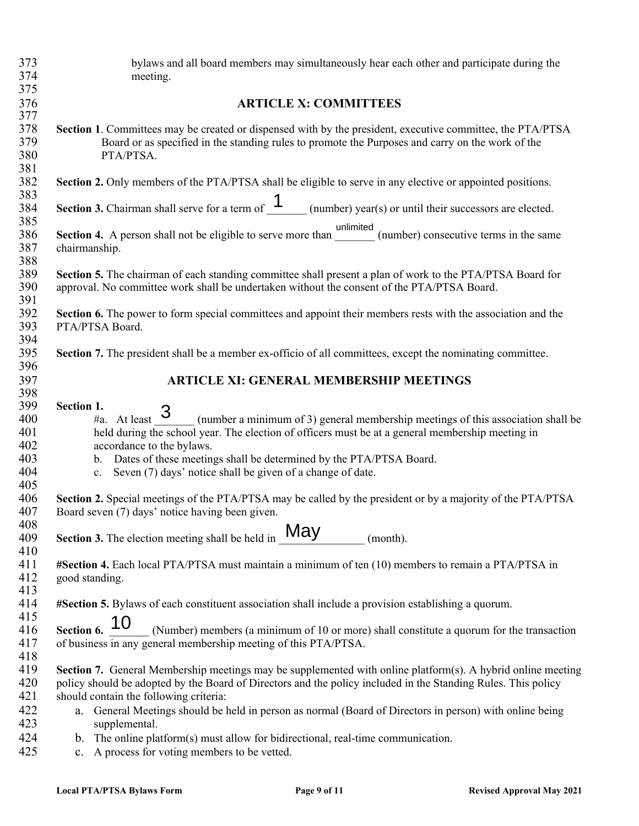| 373<br>374                                    | bylaws and all board members may simultaneously hear each other and participate during the<br>meeting.                                                                                                                                                                                                                                                                                                                  |
|-----------------------------------------------|-------------------------------------------------------------------------------------------------------------------------------------------------------------------------------------------------------------------------------------------------------------------------------------------------------------------------------------------------------------------------------------------------------------------------|
| 375                                           |                                                                                                                                                                                                                                                                                                                                                                                                                         |
| 376<br>377                                    | <b>ARTICLE X: COMMITTEES</b>                                                                                                                                                                                                                                                                                                                                                                                            |
| 378<br>379<br>380<br>381                      | Section 1. Committees may be created or dispensed with by the president, executive committee, the PTA/PTSA<br>Board or as specified in the standing rules to promote the Purposes and carry on the work of the<br>PTA/PTSA.                                                                                                                                                                                             |
| 382<br>383                                    | Section 2. Only members of the PTA/PTSA shall be eligible to serve in any elective or appointed positions.                                                                                                                                                                                                                                                                                                              |
| 384<br>385                                    | <b>Section 3.</b> Chairman shall serve for a term of $\frac{1}{\sqrt{1-\frac{1}{n}}}$ (number) year(s) or until their successors are elected.                                                                                                                                                                                                                                                                           |
| 386<br>387<br>388                             | Section 4. A person shall not be eligible to serve more than __________ (number) consecutive terms in the same<br>chairmanship.                                                                                                                                                                                                                                                                                         |
| 389<br>390<br>391                             | Section 5. The chairman of each standing committee shall present a plan of work to the PTA/PTSA Board for<br>approval. No committee work shall be undertaken without the consent of the PTA/PTSA Board.                                                                                                                                                                                                                 |
| 392<br>393<br>394                             | Section 6. The power to form special committees and appoint their members rests with the association and the<br>PTA/PTSA Board.                                                                                                                                                                                                                                                                                         |
| 395<br>396                                    | Section 7. The president shall be a member ex-officio of all committees, except the nominating committee.                                                                                                                                                                                                                                                                                                               |
| 397<br>398                                    | <b>ARTICLE XI: GENERAL MEMBERSHIP MEETINGS</b>                                                                                                                                                                                                                                                                                                                                                                          |
| 399<br>400<br>401<br>402<br>403<br>404<br>405 | Section 1.<br>$\frac{1}{4}$ At least 3<br>(number a minimum of 3) general membership meetings of this association shall be<br>held during the school year. The election of officers must be at a general membership meeting in<br>accordance to the bylaws.<br>Dates of these meetings shall be determined by the PTA/PTSA Board.<br>$\mathbf{b}$ .<br>Seven (7) days' notice shall be given of a change of date.<br>c. |
| 406<br>407<br>408                             | Section 2. Special meetings of the PTA/PTSA may be called by the president or by a majority of the PTA/PTSA<br>Board seven (7) days' notice having been given.                                                                                                                                                                                                                                                          |
| 409<br>410                                    | May<br>Section 3. The election meeting shall be held in<br>(month).                                                                                                                                                                                                                                                                                                                                                     |
| 411<br>412<br>413                             | #Section 4. Each local PTA/PTSA must maintain a minimum of ten (10) members to remain a PTA/PTSA in<br>good standing.                                                                                                                                                                                                                                                                                                   |
| 414<br>415                                    | #Section 5. Bylaws of each constituent association shall include a provision establishing a quorum.                                                                                                                                                                                                                                                                                                                     |
| 416<br>417<br>418                             | 10<br>Section 6.<br>(Number) members (a minimum of 10 or more) shall constitute a quorum for the transaction<br>of business in any general membership meeting of this PTA/PTSA.                                                                                                                                                                                                                                         |
| 419<br>420<br>421                             | Section 7. General Membership meetings may be supplemented with online platform(s). A hybrid online meeting<br>policy should be adopted by the Board of Directors and the policy included in the Standing Rules. This policy<br>should contain the following criteria:                                                                                                                                                  |
| 422<br>423                                    | a. General Meetings should be held in person as normal (Board of Directors in person) with online being<br>supplemental.                                                                                                                                                                                                                                                                                                |
| 424<br>425                                    | b. The online platform(s) must allow for bidirectional, real-time communication.<br>A process for voting members to be vetted.<br>c.                                                                                                                                                                                                                                                                                    |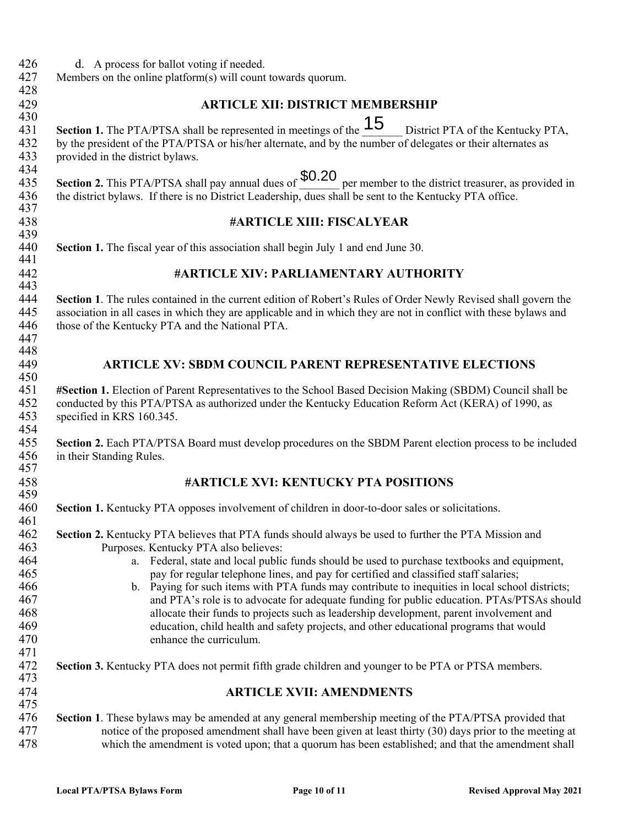- 426 d. A process for ballot voting if needed.<br>427 Members on the online platform(s) will count
- Members on the online platform $(s)$  will count towards quorum.
- 428 430

448

### 429 **ARTICLE XII: DISTRICT MEMBERSHIP**

430<br>431 Section 1. The PTA/PTSA shall be represented in meetings of the  $\overline{15}$  District PTA of the Kentucky PTA, 432 by the president of the PTA/PTSA or his/her alternate, and by the number of delegates or their alternates as provided in the district by laws. provided in the district bylaws.

434 434<br>435 Section 2. This PTA/PTSA shall pay annual dues of  $$0.20$  per member to the district treasurer, as provided in 436 the district bylaws. If there is no District Leadership, dues shall be sent to the Kentucky PTA office. 437

#### 438 **#ARTICLE XIII: FISCALYEAR**

439<br>440 **Section 1.** The fiscal year of this association shall begin July 1 and end June 30. 441

#### 442 **#ARTICLE XIV: PARLIAMENTARY AUTHORITY**

443<br>444 **Section 1**. The rules contained in the current edition of Robert's Rules of Order Newly Revised shall govern the association in all cases in which they are applicable and in which they are not in conflict with these bylaw association in all cases in which they are applicable and in which they are not in conflict with these bylaws and 446 those of the Kentucky PTA and the National PTA. 447

### 449 **ARTICLE XV: SBDM COUNCIL PARENT REPRESENTATIVE ELECTIONS**

450<br>451 **#Section 1.** Election of Parent Representatives to the School Based Decision Making (SBDM) Council shall be conducted by this PTA/PTSA as authorized under the Kentucky Education Reform Act (KERA) of 1990, as specified in KRS 160.345.

454<br>455 455 **Section 2.** Each PTA/PTSA Board must develop procedures on the SBDM Parent election process to be included in their Standing Rules. in their Standing Rules. 457

#### 458 **#ARTICLE XVI: KENTUCKY PTA POSITIONS**

459<br>460 **Section 1.** Kentucky PTA opposes involvement of children in door-to-door sales or solicitations.

- 461<br>462 **Section 2.** Kentucky PTA believes that PTA funds should always be used to further the PTA Mission and 463 Purposes. Kentucky PTA also believes: 464 a. Federal, state and local public funds should be used to purchase textbooks and equipment,
- 465 pay for regular telephone lines, and pay for certified and classified staff salaries; 466 b. Paying for such items with PTA funds may contribute to inequities in local school districts;<br>467 and PTA's role is to advocate for adequate funding for public education. PTAs/PTSAs shou and PTA's role is to advocate for adequate funding for public education. PTAs/PTSAs should 468 allocate their funds to projects such as leadership development, parent involvement and 469 education, child health and safety projects, and other educational programs that would 470 enhance the curriculum.
- 471<br>472 **Section 3.** Kentucky PTA does not permit fifth grade children and younger to be PTA or PTSA members. 473

#### 474 **ARTICLE XVII: AMENDMENTS**

475<br>476 476 **Section 1**. These bylaws may be amended at any general membership meeting of the PTA/PTSA provided that notice of the proposed amendment shall have been given at least thirty (30) days prior to the meeting at least th 477 notice of the proposed amendment shall have been given at least thirty (30) days prior to the meeting at<br>478 which the amendment is voted upon: that a quorum has been established: and that the amendment shall which the amendment is voted upon; that a quorum has been established; and that the amendment shall